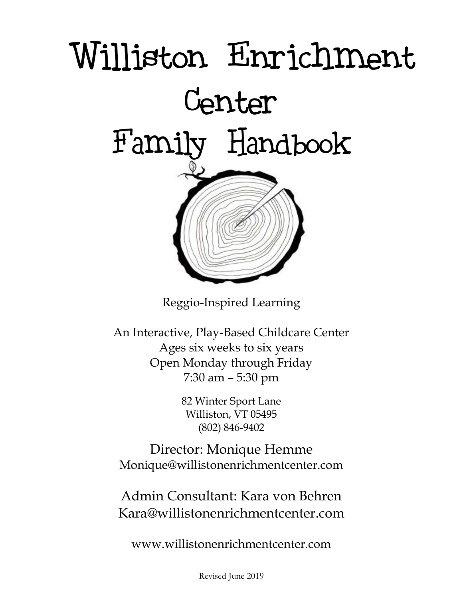

Reggio-Inspired Learning

An Interactive, Play-Based Childcare Center Ages six weeks to six years Open Monday through Friday 7:30 am – 5:30 pm

> 82 Winter Sport Lane Williston, VT 05495 (802) 846-9402

Director: Monique Hemme Monique@willistonenrichmentcenter.com

Admin Consultant: Kara von Behren Kara@willistonenrichmentcenter.com

www.willistonenrichmentcenter.com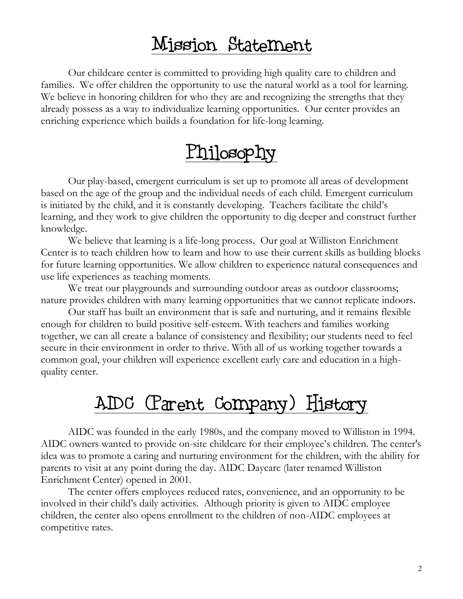### Mission Statement

Our childcare center is committed to providing high quality care to children and families. We offer children the opportunity to use the natural world as a tool for learning. We believe in honoring children for who they are and recognizing the strengths that they already possess as a way to individualize learning opportunities. Our center provides an enriching experience which builds a foundation for life-long learning.

### Philosophy

Our play-based, emergent curriculum is set up to promote all areas of development based on the age of the group and the individual needs of each child. Emergent curriculum is initiated by the child, and it is constantly developing. Teachers facilitate the child's learning, and they work to give children the opportunity to dig deeper and construct further knowledge.

We believe that learning is a life-long process. Our goal at Williston Enrichment Center is to teach children how to learn and how to use their current skills as building blocks for future learning opportunities. We allow children to experience natural consequences and use life experiences as teaching moments.

We treat our playgrounds and surrounding outdoor areas as outdoor classrooms; nature provides children with many learning opportunities that we cannot replicate indoors.

Our staff has built an environment that is safe and nurturing, and it remains flexible enough for children to build positive self-esteem. With teachers and families working together, we can all create a balance of consistency and flexibility; our students need to feel secure in their environment in order to thrive. With all of us working together towards a common goal, your children will experience excellent early care and education in a highquality center.

### AIDC (Parent Company) History

AIDC was founded in the early 1980s, and the company moved to Williston in 1994. AIDC owners wanted to provide on-site childcare for their employee's children. The center's idea was to promote a caring and nurturing environment for the children, with the ability for parents to visit at any point during the day. AIDC Daycare (later renamed Williston Enrichment Center) opened in 2001.

The center offers employees reduced rates, convenience, and an opportunity to be involved in their child's daily activities. Although priority is given to AIDC employee children, the center also opens enrollment to the children of non-AIDC employees at competitive rates.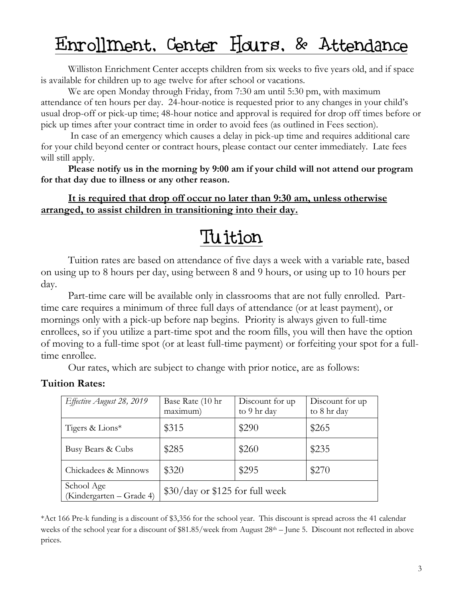## Enrollment, Center Hours, & Attendance

Williston Enrichment Center accepts children from six weeks to five years old, and if space is available for children up to age twelve for after school or vacations.

We are open Monday through Friday, from 7:30 am until 5:30 pm, with maximum attendance of ten hours per day. 24-hour-notice is requested prior to any changes in your child's usual drop-off or pick-up time; 48-hour notice and approval is required for drop off times before or pick up times after your contract time in order to avoid fees (as outlined in Fees section).

In case of an emergency which causes a delay in pick-up time and requires additional care for your child beyond center or contract hours, please contact our center immediately. Late fees will still apply.

**Please notify us in the morning by 9:00 am if your child will not attend our program for that day due to illness or any other reason.** 

**It is required that drop off occur no later than 9:30 am, unless otherwise arranged, to assist children in transitioning into their day.**

# Tuition

Tuition rates are based on attendance of five days a week with a variable rate, based on using up to 8 hours per day, using between 8 and 9 hours, or using up to 10 hours per day.

Part-time care will be available only in classrooms that are not fully enrolled. Parttime care requires a minimum of three full days of attendance (or at least payment), or mornings only with a pick-up before nap begins. Priority is always given to full-time enrollees, so if you utilize a part-time spot and the room fills, you will then have the option of moving to a full-time spot (or at least full-time payment) or forfeiting your spot for a fulltime enrollee.

Our rates, which are subject to change with prior notice, are as follows:

#### **Tuition Rates:**

| Effective August 28, 2019              | Base Rate (10 hr<br>maximum)    | Discount for up<br>to 9 hr day | Discount for up<br>to 8 hr day |
|----------------------------------------|---------------------------------|--------------------------------|--------------------------------|
| Tigers & Lions*                        | \$315                           | \$290                          | \$265                          |
| Busy Bears & Cubs                      | \$285                           | \$260                          | \$235                          |
| Chickadees & Minnows                   | \$320                           | \$295                          | \$270                          |
| School Age<br>(Kindergarten – Grade 4) | \$30/day or \$125 for full week |                                |                                |

\*Act 166 Pre-k funding is a discount of \$3,356 for the school year. This discount is spread across the 41 calendar weeks of the school year for a discount of \$81.85/week from August 28<sup>th</sup> – June 5. Discount not reflected in above prices.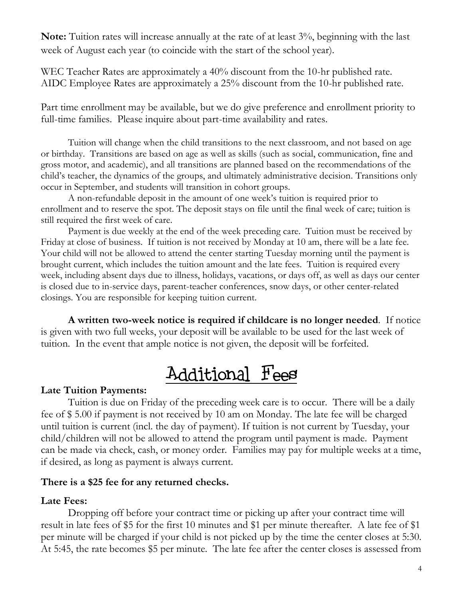**Note:** Tuition rates will increase annually at the rate of at least 3%, beginning with the last week of August each year (to coincide with the start of the school year).

WEC Teacher Rates are approximately a 40% discount from the 10-hr published rate. AIDC Employee Rates are approximately a 25% discount from the 10-hr published rate.

Part time enrollment may be available, but we do give preference and enrollment priority to full-time families. Please inquire about part-time availability and rates.

Tuition will change when the child transitions to the next classroom, and not based on age or birthday. Transitions are based on age as well as skills (such as social, communication, fine and gross motor, and academic), and all transitions are planned based on the recommendations of the child's teacher, the dynamics of the groups, and ultimately administrative decision. Transitions only occur in September, and students will transition in cohort groups.

A non-refundable deposit in the amount of one week's tuition is required prior to enrollment and to reserve the spot. The deposit stays on file until the final week of care; tuition is still required the first week of care.

Payment is due weekly at the end of the week preceding care. Tuition must be received by Friday at close of business. If tuition is not received by Monday at 10 am, there will be a late fee. Your child will not be allowed to attend the center starting Tuesday morning until the payment is brought current, which includes the tuition amount and the late fees. Tuition is required every week, including absent days due to illness, holidays, vacations, or days off, as well as days our center is closed due to in-service days, parent-teacher conferences, snow days, or other center-related closings. You are responsible for keeping tuition current.

**A written two-week notice is required if childcare is no longer needed**. If notice is given with two full weeks, your deposit will be available to be used for the last week of tuition. In the event that ample notice is not given, the deposit will be forfeited.

# Additional Fees

#### **Late Tuition Payments:**

Tuition is due on Friday of the preceding week care is to occur. There will be a daily fee of \$ 5.00 if payment is not received by 10 am on Monday. The late fee will be charged until tuition is current (incl. the day of payment). If tuition is not current by Tuesday, your child/children will not be allowed to attend the program until payment is made. Payment can be made via check, cash, or money order. Families may pay for multiple weeks at a time, if desired, as long as payment is always current.

#### **There is a \$25 fee for any returned checks.**

#### **Late Fees:**

Dropping off before your contract time or picking up after your contract time will result in late fees of \$5 for the first 10 minutes and \$1 per minute thereafter. A late fee of \$1 per minute will be charged if your child is not picked up by the time the center closes at 5:30. At 5:45, the rate becomes \$5 per minute. The late fee after the center closes is assessed from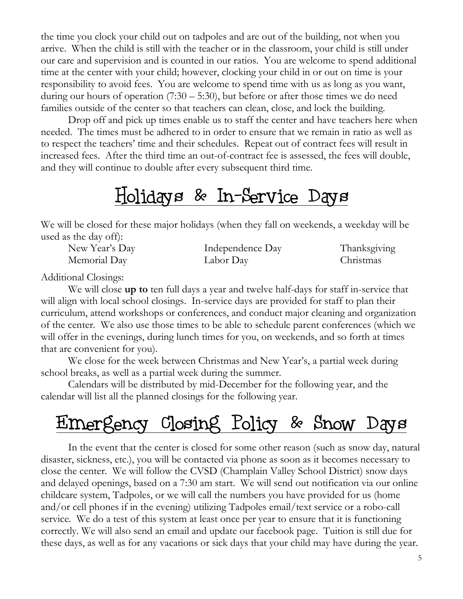the time you clock your child out on tadpoles and are out of the building, not when you arrive. When the child is still with the teacher or in the classroom, your child is still under our care and supervision and is counted in our ratios. You are welcome to spend additional time at the center with your child; however, clocking your child in or out on time is your responsibility to avoid fees. You are welcome to spend time with us as long as you want, during our hours of operation  $(7:30 - 5:30)$ , but before or after those times we do need families outside of the center so that teachers can clean, close, and lock the building.

Drop off and pick up times enable us to staff the center and have teachers here when needed. The times must be adhered to in order to ensure that we remain in ratio as well as to respect the teachers' time and their schedules. Repeat out of contract fees will result in increased fees. After the third time an out-of-contract fee is assessed, the fees will double, and they will continue to double after every subsequent third time.

#### Holidays & In-Service Days

We will be closed for these major holidays (when they fall on weekends, a weekday will be used as the day off):

| New Year's Day | Independence Day | Thanksgiving |
|----------------|------------------|--------------|
| Memorial Day   | Labor Day        | Christmas    |

Additional Closings:

We will close **up to** ten full days a year and twelve half-days for staff in-service that will align with local school closings. In-service days are provided for staff to plan their curriculum, attend workshops or conferences, and conduct major cleaning and organization of the center. We also use those times to be able to schedule parent conferences (which we will offer in the evenings, during lunch times for you, on weekends, and so forth at times that are convenient for you).

We close for the week between Christmas and New Year's, a partial week during school breaks, as well as a partial week during the summer.

Calendars will be distributed by mid-December for the following year, and the calendar will list all the planned closings for the following year.

# Emergency Closing Policy & Snow Days

In the event that the center is closed for some other reason (such as snow day, natural disaster, sickness, etc.), you will be contacted via phone as soon as it becomes necessary to close the center. We will follow the CVSD (Champlain Valley School District) snow days and delayed openings, based on a 7:30 am start. We will send out notification via our online childcare system, Tadpoles, or we will call the numbers you have provided for us (home and/or cell phones if in the evening) utilizing Tadpoles email/text service or a robo-call service. We do a test of this system at least once per year to ensure that it is functioning correctly. We will also send an email and update our facebook page. Tuition is still due for these days, as well as for any vacations or sick days that your child may have during the year.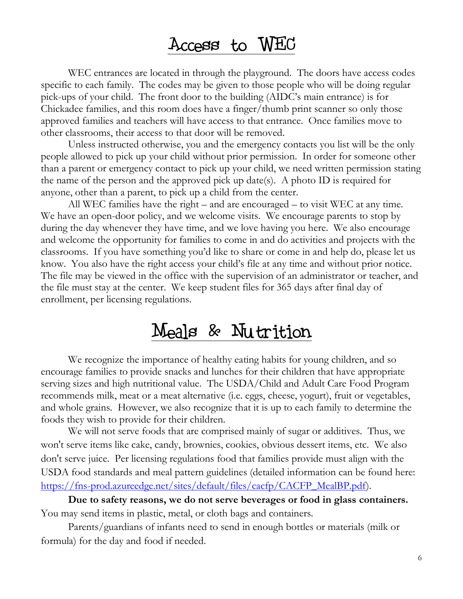#### Access to WEC

WEC entrances are located in through the playground. The doors have access codes specific to each family. The codes may be given to those people who will be doing regular pick-ups of your child. The front door to the building (AIDC's main entrance) is for Chickadee families, and this room does have a finger/thumb print scanner so only those approved families and teachers will have access to that entrance. Once families move to other classrooms, their access to that door will be removed.

Unless instructed otherwise, you and the emergency contacts you list will be the only people allowed to pick up your child without prior permission. In order for someone other than a parent or emergency contact to pick up your child, we need written permission stating the name of the person and the approved pick up date(s). A photo ID is required for anyone, other than a parent, to pick up a child from the center.

All WEC families have the right – and are encouraged – to visit WEC at any time. We have an open-door policy, and we welcome visits. We encourage parents to stop by during the day whenever they have time, and we love having you here. We also encourage and welcome the opportunity for families to come in and do activities and projects with the classrooms. If you have something you'd like to share or come in and help do, please let us know. You also have the right access your child's file at any time and without prior notice. The file may be viewed in the office with the supervision of an administrator or teacher, and the file must stay at the center. We keep student files for 365 days after final day of enrollment, per licensing regulations.

#### Meals & Nutrition

We recognize the importance of healthy eating habits for young children, and so encourage families to provide snacks and lunches for their children that have appropriate serving sizes and high nutritional value. The USDA/Child and Adult Care Food Program recommends milk, meat or a meat alternative (i.e. eggs, cheese, yogurt), fruit or vegetables, and whole grains. However, we also recognize that it is up to each family to determine the foods they wish to provide for their children.

We will not serve foods that are comprised mainly of sugar or additives. Thus, we won't serve items like cake, candy, brownies, cookies, obvious dessert items, etc. We also don't serve juice. Per licensing regulations food that families provide must align with the USDA food standards and meal pattern guidelines (detailed information can be found here: [https://fns-prod.azureedge.net/sites/default/files/cacfp/CACFP\\_MealBP.pdf\)](https://fns-prod.azureedge.net/sites/default/files/cacfp/CACFP_MealBP.pdf).

**Due to safety reasons, we do not serve beverages or food in glass containers.** You may send items in plastic, metal, or cloth bags and containers.

Parents/guardians of infants need to send in enough bottles or materials (milk or formula) for the day and food if needed.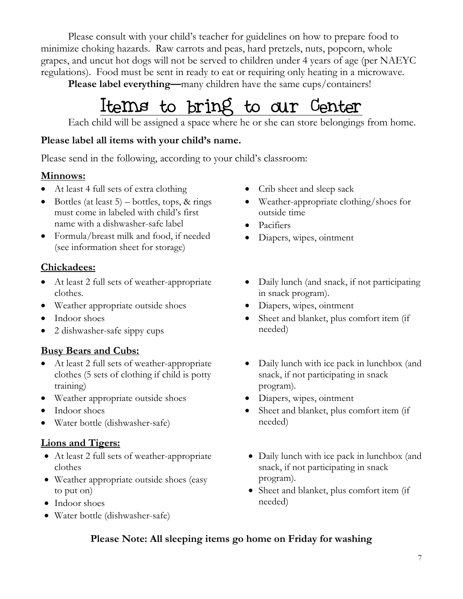Please consult with your child's teacher for guidelines on how to prepare food to minimize choking hazards. Raw carrots and peas, hard pretzels, nuts, popcorn, whole grapes, and uncut hot dogs will not be served to children under 4 years of age (per NAEYC regulations). Food must be sent in ready to eat or requiring only heating in a microwave.

Please label everything—many children have the same cups/containers!

# Items to bring to our Center

Each child will be assigned a space where he or she can store belongings from home.

#### **Please label all items with your child's name.**

Please send in the following, according to your child's classroom:

#### **Minnows:**

- At least 4 full sets of extra clothing
- $\bullet$  Bottles (at least 5) bottles, tops, & rings must come in labeled with child's first name with a dishwasher-safe label
- Formula/breast milk and food, if needed (see information sheet for storage)

#### **Chickadees:**

- At least 2 full sets of weather-appropriate clothes.
- Weather appropriate outside shoes
- Indoor shoes
- 2 dishwasher-safe sippy cups

#### **Busy Bears and Cubs:**

- At least 2 full sets of weather-appropriate clothes (5 sets of clothing if child is potty training)
- Weather appropriate outside shoes
- Indoor shoes
- Water bottle (dishwasher-safe)

#### **Lions and Tigers:**

- At least 2 full sets of weather-appropriate clothes
- Weather appropriate outside shoes (easy to put on)
- Indoor shoes
- Water bottle (dishwasher-safe)
- Crib sheet and sleep sack
- Weather-appropriate clothing/shoes for outside time
- Pacifiers
- Diapers, wipes, ointment
- Daily lunch (and snack, if not participating in snack program).
- Diapers, wipes, ointment
- Sheet and blanket, plus comfort item (if needed)
- Daily lunch with ice pack in lunchbox (and snack, if not participating in snack program).
- Diapers, wipes, ointment
- Sheet and blanket, plus comfort item (if needed)
- Daily lunch with ice pack in lunchbox (and snack, if not participating in snack program).
- Sheet and blanket, plus comfort item (if needed)

#### **Please Note: All sleeping items go home on Friday for washing**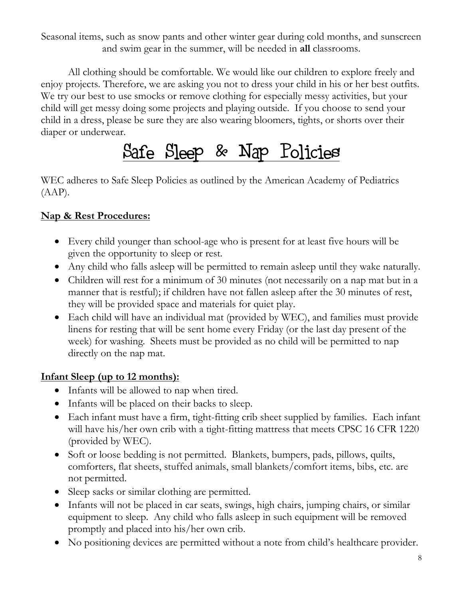Seasonal items, such as snow pants and other winter gear during cold months, and sunscreen and swim gear in the summer, will be needed in **all** classrooms.

All clothing should be comfortable. We would like our children to explore freely and enjoy projects. Therefore, we are asking you not to dress your child in his or her best outfits. We try our best to use smocks or remove clothing for especially messy activities, but your child will get messy doing some projects and playing outside. If you choose to send your child in a dress, please be sure they are also wearing bloomers, tights, or shorts over their diaper or underwear.

# Safe Sleep & Nap Policies

WEC adheres to Safe Sleep Policies as outlined by the American Academy of Pediatrics  $(AAP)$ .

#### **Nap & Rest Procedures:**

- Every child younger than school-age who is present for at least five hours will be given the opportunity to sleep or rest.
- Any child who falls asleep will be permitted to remain asleep until they wake naturally.
- Children will rest for a minimum of 30 minutes (not necessarily on a nap mat but in a manner that is restful); if children have not fallen asleep after the 30 minutes of rest, they will be provided space and materials for quiet play.
- Each child will have an individual mat (provided by WEC), and families must provide linens for resting that will be sent home every Friday (or the last day present of the week) for washing. Sheets must be provided as no child will be permitted to nap directly on the nap mat.

#### **Infant Sleep (up to 12 months):**

- Infants will be allowed to nap when tired.
- Infants will be placed on their backs to sleep.
- Each infant must have a firm, tight-fitting crib sheet supplied by families. Each infant will have his/her own crib with a tight-fitting mattress that meets CPSC 16 CFR 1220 (provided by WEC).
- Soft or loose bedding is not permitted. Blankets, bumpers, pads, pillows, quilts, comforters, flat sheets, stuffed animals, small blankets/comfort items, bibs, etc. are not permitted.
- Sleep sacks or similar clothing are permitted.
- Infants will not be placed in car seats, swings, high chairs, jumping chairs, or similar equipment to sleep. Any child who falls asleep in such equipment will be removed promptly and placed into his/her own crib.
- No positioning devices are permitted without a note from child's healthcare provider.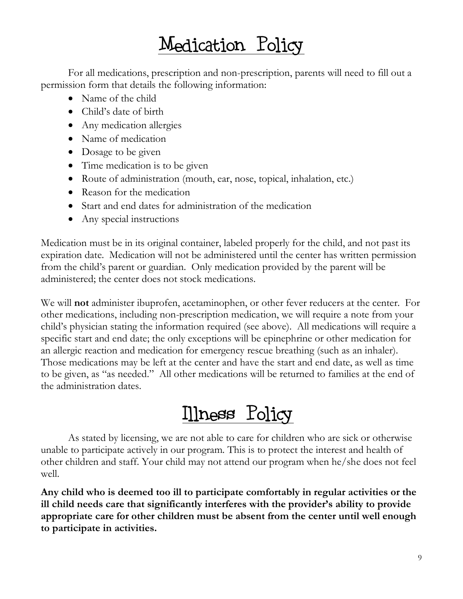# Medication Policy

For all medications, prescription and non-prescription, parents will need to fill out a permission form that details the following information:

- Name of the child
- Child's date of birth
- Any medication allergies
- Name of medication
- Dosage to be given
- Time medication is to be given
- Route of administration (mouth, ear, nose, topical, inhalation, etc.)
- Reason for the medication
- Start and end dates for administration of the medication
- Any special instructions

Medication must be in its original container, labeled properly for the child, and not past its expiration date. Medication will not be administered until the center has written permission from the child's parent or guardian. Only medication provided by the parent will be administered; the center does not stock medications.

We will **not** administer ibuprofen, acetaminophen, or other fever reducers at the center. For other medications, including non-prescription medication, we will require a note from your child's physician stating the information required (see above). All medications will require a specific start and end date; the only exceptions will be epinephrine or other medication for an allergic reaction and medication for emergency rescue breathing (such as an inhaler). Those medications may be left at the center and have the start and end date, as well as time to be given, as "as needed." All other medications will be returned to families at the end of the administration dates.

Illness Policy

As stated by licensing, we are not able to care for children who are sick or otherwise unable to participate actively in our program. This is to protect the interest and health of other children and staff. Your child may not attend our program when he/she does not feel well.

**Any child who is deemed too ill to participate comfortably in regular activities or the ill child needs care that significantly interferes with the provider's ability to provide appropriate care for other children must be absent from the center until well enough to participate in activities.**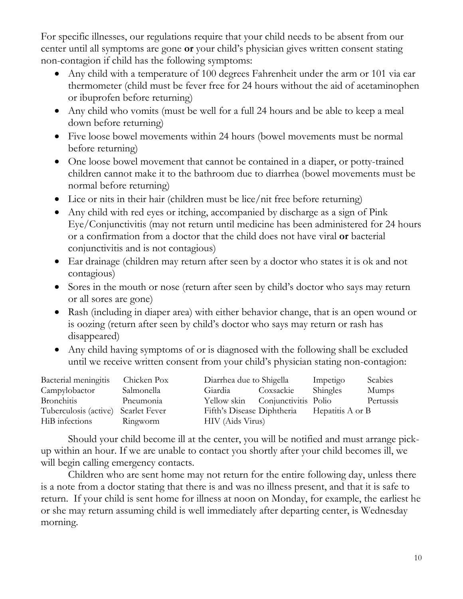For specific illnesses, our regulations require that your child needs to be absent from our center until all symptoms are gone **or** your child's physician gives written consent stating non-contagion if child has the following symptoms:

- Any child with a temperature of 100 degrees Fahrenheit under the arm or 101 via ear thermometer (child must be fever free for 24 hours without the aid of acetaminophen or ibuprofen before returning)
- Any child who vomits (must be well for a full 24 hours and be able to keep a meal down before returning)
- Five loose bowel movements within 24 hours (bowel movements must be normal before returning)
- One loose bowel movement that cannot be contained in a diaper, or potty-trained children cannot make it to the bathroom due to diarrhea (bowel movements must be normal before returning)
- Lice or nits in their hair (children must be lice/nit free before returning)
- Any child with red eyes or itching, accompanied by discharge as a sign of Pink Eye/Conjunctivitis (may not return until medicine has been administered for 24 hours or a confirmation from a doctor that the child does not have viral **or** bacterial conjunctivitis and is not contagious)
- Ear drainage (children may return after seen by a doctor who states it is ok and not contagious)
- Sores in the mouth or nose (return after seen by child's doctor who says may return or all sores are gone)
- Rash (including in diaper area) with either behavior change, that is an open wound or is oozing (return after seen by child's doctor who says may return or rash has disappeared)
- Any child having symptoms of or is diagnosed with the following shall be excluded until we receive written consent from your child's physician stating non-contagion:

| Bacterial meningitis                | Chicken Pox | Diarrhea due to Shigella                    |           | Impetigo | Scabies   |
|-------------------------------------|-------------|---------------------------------------------|-----------|----------|-----------|
| Campylobactor                       | Salmonella  | Giardia                                     | Coxsackie | Shingles | Mumps     |
| <b>Bronchitis</b>                   | Pneumonia   | Yellow skin Conjunctivitis Polio            |           |          | Pertussis |
| Tuberculosis (active) Scarlet Fever |             | Fifth's Disease Diphtheria Hepatitis A or B |           |          |           |
| HiB infections                      | Ringworm    | HIV (Aids Virus)                            |           |          |           |

Should your child become ill at the center, you will be notified and must arrange pickup within an hour. If we are unable to contact you shortly after your child becomes ill, we will begin calling emergency contacts.

Children who are sent home may not return for the entire following day, unless there is a note from a doctor stating that there is and was no illness present, and that it is safe to return. If your child is sent home for illness at noon on Monday, for example, the earliest he or she may return assuming child is well immediately after departing center, is Wednesday morning.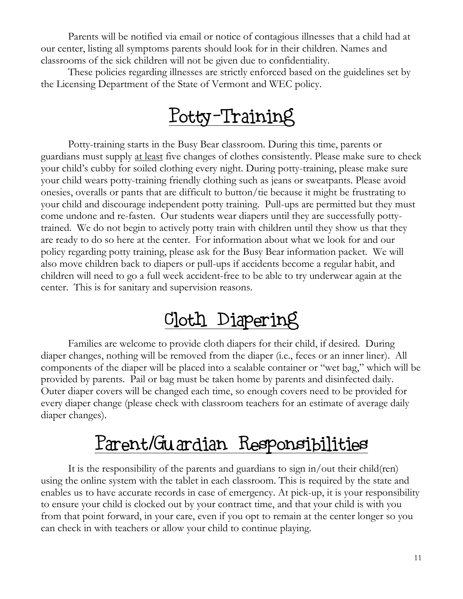Parents will be notified via email or notice of contagious illnesses that a child had at our center, listing all symptoms parents should look for in their children. Names and classrooms of the sick children will not be given due to confidentiality.

These policies regarding illnesses are strictly enforced based on the guidelines set by the Licensing Department of the State of Vermont and WEC policy.

# Potty-Training

Potty-training starts in the Busy Bear classroom. During this time, parents or guardians must supply at least five changes of clothes consistently. Please make sure to check your child's cubby for soiled clothing every night. During potty-training, please make sure your child wears potty-training friendly clothing such as jeans or sweatpants. Please avoid onesies, overalls or pants that are difficult to button/tie because it might be frustrating to your child and discourage independent potty training. Pull-ups are permitted but they must come undone and re-fasten. Our students wear diapers until they are successfully pottytrained. We do not begin to actively potty train with children until they show us that they are ready to do so here at the center. For information about what we look for and our policy regarding potty training, please ask for the Busy Bear information packet. We will also move children back to diapers or pull-ups if accidents become a regular habit, and children will need to go a full week accident-free to be able to try underwear again at the center. This is for sanitary and supervision reasons.

### Cloth Diapering

Families are welcome to provide cloth diapers for their child, if desired. During diaper changes, nothing will be removed from the diaper (i.e., feces or an inner liner). All components of the diaper will be placed into a sealable container or "wet bag," which will be provided by parents. Pail or bag must be taken home by parents and disinfected daily. Outer diaper covers will be changed each time, so enough covers need to be provided for every diaper change (please check with classroom teachers for an estimate of average daily diaper changes).

# Parent/Guardian Responsibilities

It is the responsibility of the parents and guardians to sign in/out their child(ren) using the online system with the tablet in each classroom. This is required by the state and enables us to have accurate records in case of emergency. At pick-up, it is your responsibility to ensure your child is clocked out by your contract time, and that your child is with you from that point forward, in your care, even if you opt to remain at the center longer so you can check in with teachers or allow your child to continue playing.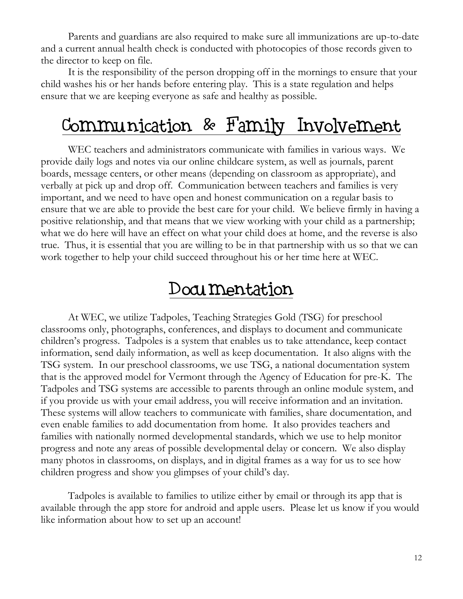Parents and guardians are also required to make sure all immunizations are up-to-date and a current annual health check is conducted with photocopies of those records given to the director to keep on file.

It is the responsibility of the person dropping off in the mornings to ensure that your child washes his or her hands before entering play. This is a state regulation and helps ensure that we are keeping everyone as safe and healthy as possible.

## Communication & Family Involvement

WEC teachers and administrators communicate with families in various ways. We provide daily logs and notes via our online childcare system, as well as journals, parent boards, message centers, or other means (depending on classroom as appropriate), and verbally at pick up and drop off. Communication between teachers and families is very important, and we need to have open and honest communication on a regular basis to ensure that we are able to provide the best care for your child. We believe firmly in having a positive relationship, and that means that we view working with your child as a partnership; what we do here will have an effect on what your child does at home, and the reverse is also true. Thus, it is essential that you are willing to be in that partnership with us so that we can work together to help your child succeed throughout his or her time here at WEC.

#### Documentation

At WEC, we utilize Tadpoles, Teaching Strategies Gold (TSG) for preschool classrooms only, photographs, conferences, and displays to document and communicate children's progress. Tadpoles is a system that enables us to take attendance, keep contact information, send daily information, as well as keep documentation. It also aligns with the TSG system. In our preschool classrooms, we use TSG, a national documentation system that is the approved model for Vermont through the Agency of Education for pre-K. The Tadpoles and TSG systems are accessible to parents through an online module system, and if you provide us with your email address, you will receive information and an invitation. These systems will allow teachers to communicate with families, share documentation, and even enable families to add documentation from home. It also provides teachers and families with nationally normed developmental standards, which we use to help monitor progress and note any areas of possible developmental delay or concern. We also display many photos in classrooms, on displays, and in digital frames as a way for us to see how children progress and show you glimpses of your child's day.

Tadpoles is available to families to utilize either by email or through its app that is available through the app store for android and apple users. Please let us know if you would like information about how to set up an account!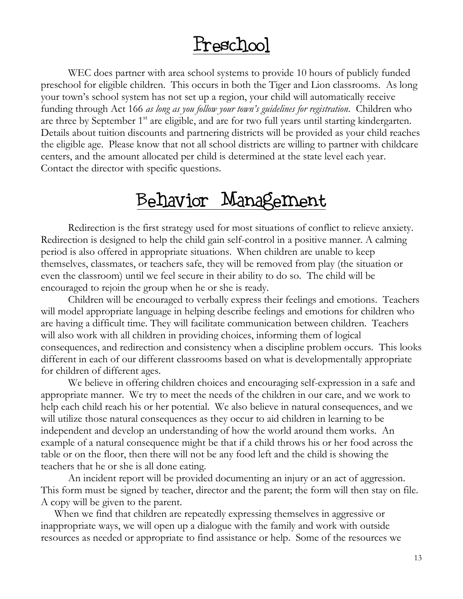#### Preschool

WEC does partner with area school systems to provide 10 hours of publicly funded preschool for eligible children. This occurs in both the Tiger and Lion classrooms. As long your town's school system has not set up a region, your child will automatically receive funding through Act 166 *as long as you follow your town's guidelines for registration*. Children who are three by September 1<sup>st</sup> are eligible, and are for two full years until starting kindergarten. Details about tuition discounts and partnering districts will be provided as your child reaches the eligible age. Please know that not all school districts are willing to partner with childcare centers, and the amount allocated per child is determined at the state level each year. Contact the director with specific questions.

#### Behavior Management

Redirection is the first strategy used for most situations of conflict to relieve anxiety. Redirection is designed to help the child gain self-control in a positive manner. A calming period is also offered in appropriate situations. When children are unable to keep themselves, classmates, or teachers safe, they will be removed from play (the situation or even the classroom) until we feel secure in their ability to do so. The child will be encouraged to rejoin the group when he or she is ready.

Children will be encouraged to verbally express their feelings and emotions. Teachers will model appropriate language in helping describe feelings and emotions for children who are having a difficult time. They will facilitate communication between children. Teachers will also work with all children in providing choices, informing them of logical consequences, and redirection and consistency when a discipline problem occurs. This looks different in each of our different classrooms based on what is developmentally appropriate for children of different ages.

We believe in offering children choices and encouraging self-expression in a safe and appropriate manner. We try to meet the needs of the children in our care, and we work to help each child reach his or her potential. We also believe in natural consequences, and we will utilize those natural consequences as they occur to aid children in learning to be independent and develop an understanding of how the world around them works. An example of a natural consequence might be that if a child throws his or her food across the table or on the floor, then there will not be any food left and the child is showing the teachers that he or she is all done eating.

An incident report will be provided documenting an injury or an act of aggression. This form must be signed by teacher, director and the parent; the form will then stay on file. A copy will be given to the parent.

When we find that children are repeatedly expressing themselves in aggressive or inappropriate ways, we will open up a dialogue with the family and work with outside resources as needed or appropriate to find assistance or help. Some of the resources we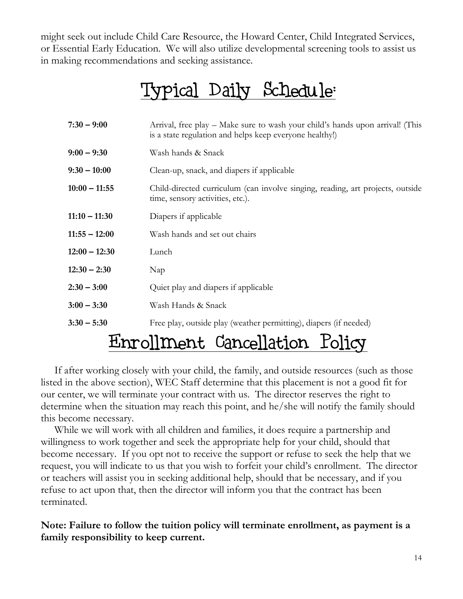might seek out include Child Care Resource, the Howard Center, Child Integrated Services, or Essential Early Education. We will also utilize developmental screening tools to assist us in making recommendations and seeking assistance.

# Typical Daily Schedule:

| $7:30 - 9:00$   | Arrival, free play – Make sure to wash your child's hands upon arrival! (This<br>is a state regulation and helps keep everyone healthy!) |
|-----------------|------------------------------------------------------------------------------------------------------------------------------------------|
| $9:00 - 9:30$   | Wash hands & Snack                                                                                                                       |
| $9:30 - 10:00$  | Clean-up, snack, and diapers if applicable                                                                                               |
| $10:00 - 11:55$ | Child-directed curriculum (can involve singing, reading, art projects, outside<br>time, sensory activities, etc.).                       |
| $11:10 - 11:30$ | Diapers if applicable                                                                                                                    |
| $11:55 - 12:00$ | Wash hands and set out chairs                                                                                                            |
| $12:00 - 12:30$ | Lunch                                                                                                                                    |
| $12:30 - 2:30$  | Nap                                                                                                                                      |
| $2:30 - 3:00$   | Quiet play and diapers if applicable                                                                                                     |
| $3:00 - 3:30$   | Wash Hands & Snack                                                                                                                       |
| $3:30 - 5:30$   | Free play, outside play (weather permitting), diapers (if needed)                                                                        |
|                 |                                                                                                                                          |

# Enrollment Cancellation Policy

If after working closely with your child, the family, and outside resources (such as those listed in the above section), WEC Staff determine that this placement is not a good fit for our center, we will terminate your contract with us. The director reserves the right to determine when the situation may reach this point, and he/she will notify the family should this become necessary.

While we will work with all children and families, it does require a partnership and willingness to work together and seek the appropriate help for your child, should that become necessary. If you opt not to receive the support or refuse to seek the help that we request, you will indicate to us that you wish to forfeit your child's enrollment. The director or teachers will assist you in seeking additional help, should that be necessary, and if you refuse to act upon that, then the director will inform you that the contract has been terminated.

**Note: Failure to follow the tuition policy will terminate enrollment, as payment is a family responsibility to keep current.**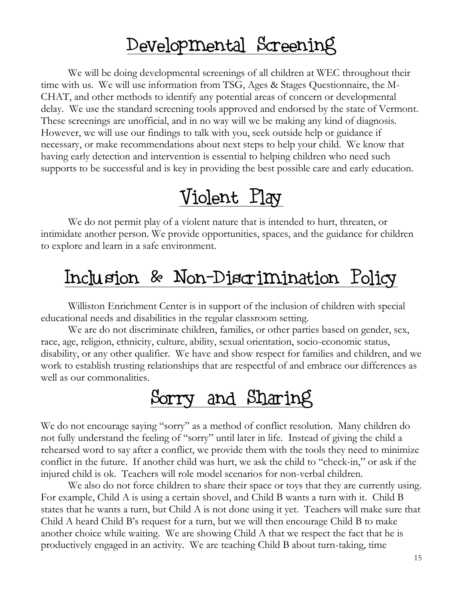### Developmental Screening

We will be doing developmental screenings of all children at WEC throughout their time with us. We will use information from TSG, Ages & Stages Questionnaire, the M-CHAT, and other methods to identify any potential areas of concern or developmental delay. We use the standard screening tools approved and endorsed by the state of Vermont. These screenings are unofficial, and in no way will we be making any kind of diagnosis. However, we will use our findings to talk with you, seek outside help or guidance if necessary, or make recommendations about next steps to help your child. We know that having early detection and intervention is essential to helping children who need such supports to be successful and is key in providing the best possible care and early education.

# Violent Play

We do not permit play of a violent nature that is intended to hurt, threaten, or intimidate another person. We provide opportunities, spaces, and the guidance for children to explore and learn in a safe environment.

# Inclusion & Non-Discrimination Policy

Williston Enrichment Center is in support of the inclusion of children with special educational needs and disabilities in the regular classroom setting.

We are do not discriminate children, families, or other parties based on gender, sex, race, age, religion, ethnicity, culture, ability, sexual orientation, socio-economic status, disability, or any other qualifier. We have and show respect for families and children, and we work to establish trusting relationships that are respectful of and embrace our differences as well as our commonalities.

# Sorry and Sharing

We do not encourage saying "sorry" as a method of conflict resolution. Many children do not fully understand the feeling of "sorry" until later in life. Instead of giving the child a rehearsed word to say after a conflict, we provide them with the tools they need to minimize conflict in the future. If another child was hurt, we ask the child to "check-in," or ask if the injured child is ok. Teachers will role model scenarios for non-verbal children.

We also do not force children to share their space or toys that they are currently using. For example, Child A is using a certain shovel, and Child B wants a turn with it. Child B states that he wants a turn, but Child A is not done using it yet. Teachers will make sure that Child A heard Child B's request for a turn, but we will then encourage Child B to make another choice while waiting. We are showing Child A that we respect the fact that he is productively engaged in an activity. We are teaching Child B about turn-taking, time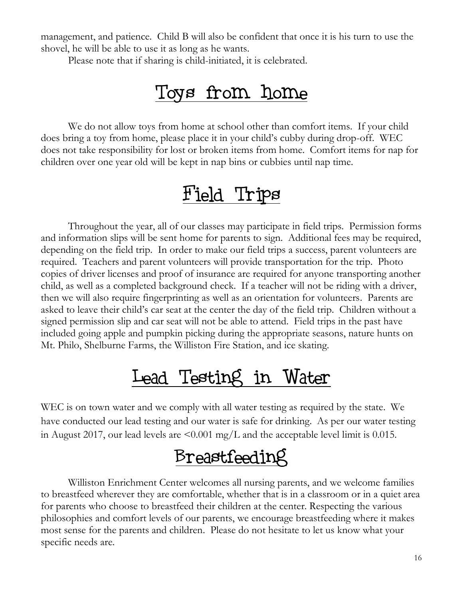management, and patience. Child B will also be confident that once it is his turn to use the shovel, he will be able to use it as long as he wants.

Please note that if sharing is child-initiated, it is celebrated.

### Toys from home

We do not allow toys from home at school other than comfort items. If your child does bring a toy from home, please place it in your child's cubby during drop-off. WEC does not take responsibility for lost or broken items from home. Comfort items for nap for children over one year old will be kept in nap bins or cubbies until nap time.

### Field Trips

Throughout the year, all of our classes may participate in field trips. Permission forms and information slips will be sent home for parents to sign. Additional fees may be required, depending on the field trip. In order to make our field trips a success, parent volunteers are required. Teachers and parent volunteers will provide transportation for the trip. Photo copies of driver licenses and proof of insurance are required for anyone transporting another child, as well as a completed background check. If a teacher will not be riding with a driver, then we will also require fingerprinting as well as an orientation for volunteers. Parents are asked to leave their child's car seat at the center the day of the field trip. Children without a signed permission slip and car seat will not be able to attend. Field trips in the past have included going apple and pumpkin picking during the appropriate seasons, nature hunts on Mt. Philo, Shelburne Farms, the Williston Fire Station, and ice skating.

### Lead Testing in Water

WEC is on town water and we comply with all water testing as required by the state. We have conducted our lead testing and our water is safe for drinking. As per our water testing in August 2017, our lead levels are  $\leq 0.001$  mg/L and the acceptable level limit is 0.015.

### Breastfeeding

Williston Enrichment Center welcomes all nursing parents, and we welcome families to breastfeed wherever they are comfortable, whether that is in a classroom or in a quiet area for parents who choose to breastfeed their children at the center. Respecting the various philosophies and comfort levels of our parents, we encourage breastfeeding where it makes most sense for the parents and children. Please do not hesitate to let us know what your specific needs are.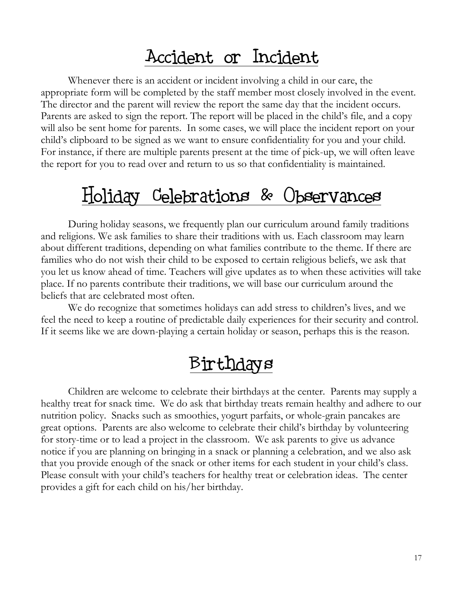#### Accident or Incident

Whenever there is an accident or incident involving a child in our care, the appropriate form will be completed by the staff member most closely involved in the event. The director and the parent will review the report the same day that the incident occurs. Parents are asked to sign the report. The report will be placed in the child's file, and a copy will also be sent home for parents. In some cases, we will place the incident report on your child's clipboard to be signed as we want to ensure confidentiality for you and your child. For instance, if there are multiple parents present at the time of pick-up, we will often leave the report for you to read over and return to us so that confidentiality is maintained.

### Holiday Celebrations & Observances

During holiday seasons, we frequently plan our curriculum around family traditions and religions. We ask families to share their traditions with us. Each classroom may learn about different traditions, depending on what families contribute to the theme. If there are families who do not wish their child to be exposed to certain religious beliefs, we ask that you let us know ahead of time. Teachers will give updates as to when these activities will take place. If no parents contribute their traditions, we will base our curriculum around the beliefs that are celebrated most often.

We do recognize that sometimes holidays can add stress to children's lives, and we feel the need to keep a routine of predictable daily experiences for their security and control. If it seems like we are down-playing a certain holiday or season, perhaps this is the reason.

#### Birthdays

Children are welcome to celebrate their birthdays at the center. Parents may supply a healthy treat for snack time. We do ask that birthday treats remain healthy and adhere to our nutrition policy. Snacks such as smoothies, yogurt parfaits, or whole-grain pancakes are great options. Parents are also welcome to celebrate their child's birthday by volunteering for story-time or to lead a project in the classroom. We ask parents to give us advance notice if you are planning on bringing in a snack or planning a celebration, and we also ask that you provide enough of the snack or other items for each student in your child's class. Please consult with your child's teachers for healthy treat or celebration ideas. The center provides a gift for each child on his/her birthday.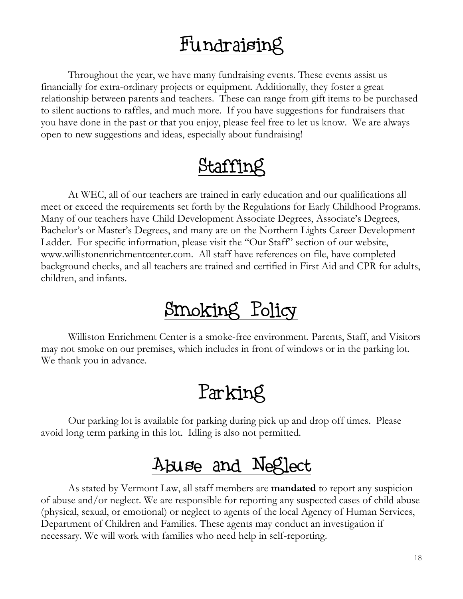## Fundraising

Throughout the year, we have many fundraising events. These events assist us financially for extra-ordinary projects or equipment. Additionally, they foster a great relationship between parents and teachers. These can range from gift items to be purchased to silent auctions to raffles, and much more. If you have suggestions for fundraisers that you have done in the past or that you enjoy, please feel free to let us know. We are always open to new suggestions and ideas, especially about fundraising!

### Staffing

At WEC, all of our teachers are trained in early education and our qualifications all meet or exceed the requirements set forth by the Regulations for Early Childhood Programs. Many of our teachers have Child Development Associate Degrees, Associate's Degrees, Bachelor's or Master's Degrees, and many are on the Northern Lights Career Development Ladder. For specific information, please visit the "Our Staff" section of our website, www.willistonenrichmentcenter.com. All staff have references on file, have completed background checks, and all teachers are trained and certified in First Aid and CPR for adults, children, and infants.

# Smoking Policy

Williston Enrichment Center is a smoke-free environment. Parents, Staff, and Visitors may not smoke on our premises, which includes in front of windows or in the parking lot. We thank you in advance.

# Parking

Our parking lot is available for parking during pick up and drop off times. Please avoid long term parking in this lot. Idling is also not permitted.

### Abuse and Neglect

As stated by Vermont Law, all staff members are **mandated** to report any suspicion of abuse and/or neglect. We are responsible for reporting any suspected cases of child abuse (physical, sexual, or emotional) or neglect to agents of the local Agency of Human Services, Department of Children and Families. These agents may conduct an investigation if necessary. We will work with families who need help in self-reporting.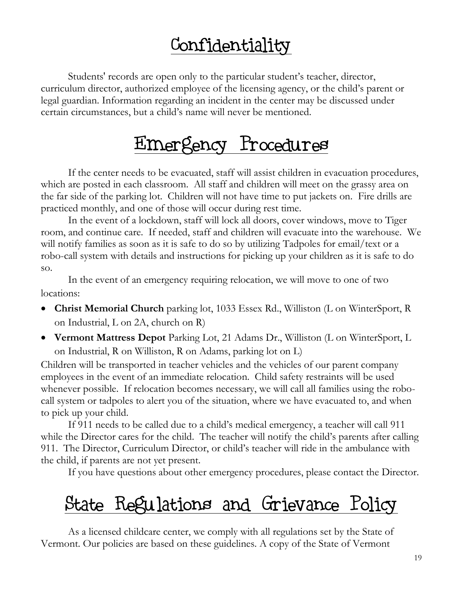## Confidentiality

Students' records are open only to the particular student's teacher, director, curriculum director, authorized employee of the licensing agency, or the child's parent or legal guardian. Information regarding an incident in the center may be discussed under certain circumstances, but a child's name will never be mentioned.

## Emergency Procedures

If the center needs to be evacuated, staff will assist children in evacuation procedures, which are posted in each classroom. All staff and children will meet on the grassy area on the far side of the parking lot. Children will not have time to put jackets on. Fire drills are practiced monthly, and one of those will occur during rest time.

In the event of a lockdown, staff will lock all doors, cover windows, move to Tiger room, and continue care. If needed, staff and children will evacuate into the warehouse. We will notify families as soon as it is safe to do so by utilizing Tadpoles for email/text or a robo-call system with details and instructions for picking up your children as it is safe to do so.

In the event of an emergency requiring relocation, we will move to one of two locations:

- **Christ Memorial Church** parking lot, 1033 Essex Rd., Williston (L on WinterSport, R on Industrial, L on 2A, church on R)
- **Vermont Mattress Depot** Parking Lot, 21 Adams Dr., Williston (L on WinterSport, L on Industrial, R on Williston, R on Adams, parking lot on L)

Children will be transported in teacher vehicles and the vehicles of our parent company employees in the event of an immediate relocation. Child safety restraints will be used whenever possible. If relocation becomes necessary, we will call all families using the robocall system or tadpoles to alert you of the situation, where we have evacuated to, and when to pick up your child.

If 911 needs to be called due to a child's medical emergency, a teacher will call 911 while the Director cares for the child. The teacher will notify the child's parents after calling 911. The Director, Curriculum Director, or child's teacher will ride in the ambulance with the child, if parents are not yet present.

If you have questions about other emergency procedures, please contact the Director.

# State Regulations and Grievance Policy

As a licensed childcare center, we comply with all regulations set by the State of Vermont. Our policies are based on these guidelines. A copy of the State of Vermont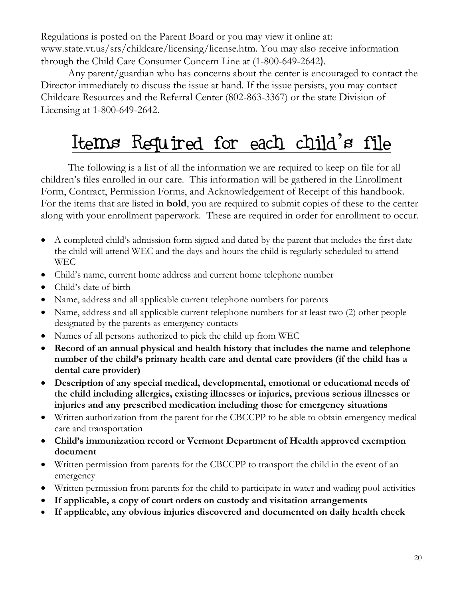Regulations is posted on the Parent Board or you may view it online at: www.state.vt.us/srs/childcare/licensing/license.htm. You may also receive information through the Child Care Consumer Concern Line at (1-800-649-2642).

Any parent/guardian who has concerns about the center is encouraged to contact the Director immediately to discuss the issue at hand. If the issue persists, you may contact Childcare Resources and the Referral Center (802-863-3367) or the state Division of Licensing at 1-800-649-2642.

# Items Required for each child's file

The following is a list of all the information we are required to keep on file for all children's files enrolled in our care. This information will be gathered in the Enrollment Form, Contract, Permission Forms, and Acknowledgement of Receipt of this handbook. For the items that are listed in **bold**, you are required to submit copies of these to the center along with your enrollment paperwork. These are required in order for enrollment to occur.

- A completed child's admission form signed and dated by the parent that includes the first date the child will attend WEC and the days and hours the child is regularly scheduled to attend WEC
- Child's name, current home address and current home telephone number
- Child's date of birth
- Name, address and all applicable current telephone numbers for parents
- Name, address and all applicable current telephone numbers for at least two (2) other people designated by the parents as emergency contacts
- Names of all persons authorized to pick the child up from WEC
- **Record of an annual physical and health history that includes the name and telephone number of the child's primary health care and dental care providers (if the child has a dental care provider)**
- **Description of any special medical, developmental, emotional or educational needs of the child including allergies, existing illnesses or injuries, previous serious illnesses or injuries and any prescribed medication including those for emergency situations**
- Written authorization from the parent for the CBCCPP to be able to obtain emergency medical care and transportation
- **Child's immunization record or Vermont Department of Health approved exemption document**
- Written permission from parents for the CBCCPP to transport the child in the event of an emergency
- Written permission from parents for the child to participate in water and wading pool activities
- **If applicable, a copy of court orders on custody and visitation arrangements**
- **If applicable, any obvious injuries discovered and documented on daily health check**